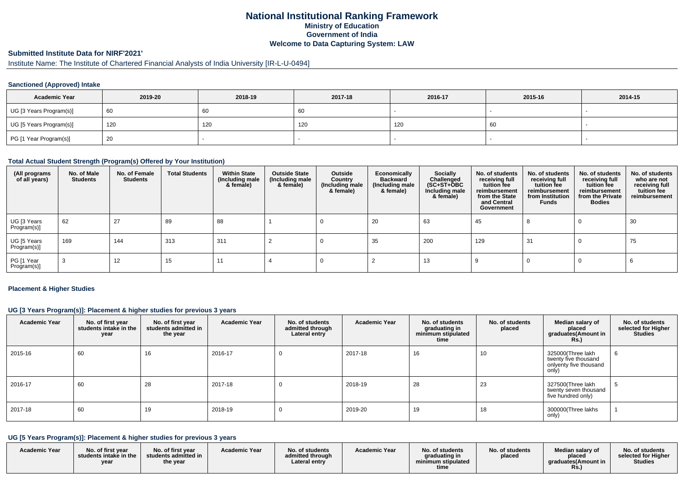### **National Institutional Ranking FrameworkMinistry of Education Government of IndiaWelcome to Data Capturing System: LAW**

## **Submitted Institute Data for NIRF'2021'**

# Institute Name: The Institute of Chartered Financial Analysts of India University [IR-L-U-0494]

#### **Sanctioned (Approved) Intake**

| <b>Academic Year</b>    | 2019-20 | 2018-19 | 2017-18 | 2016-17 | 2015-16 | 2014-15 |
|-------------------------|---------|---------|---------|---------|---------|---------|
| UG [3 Years Program(s)] | 60      | 60      | 60      |         |         |         |
| UG [5 Years Program(s)] | 120     | 120     | 120     | 120     | 60      |         |
| PG [1 Year Program(s)]  | 20      |         |         |         |         |         |

#### **Total Actual Student Strength (Program(s) Offered by Your Institution)**

| (All programs<br>of all years) | No. of Male<br><b>Students</b> | No. of Female<br>Students | <b>Total Students</b> | <b>Within State</b><br>(Including male<br>& female) | <b>Outside State</b><br>(Including male<br>& female) | Outside<br>Country<br>(Including male<br>& female) | Economically<br><b>Backward</b><br>(Including male<br>& female) | <b>Socially</b><br>Challenged<br>$(SC+ST+\text{O}BC)$<br>Including male<br>& female) | No. of students<br>receiving full<br>tuition fee<br>reimbursement<br>from the State<br>and Central<br>Government | No. of students<br>receiving full<br>tuition fee<br>reimbursement<br>from Institution<br><b>Funds</b> | No. of students<br>receiving full<br>tuition fee<br>reimbursement<br>from the Private<br><b>Bodies</b> | No. of students<br>who are not<br>receiving full<br>tuition fee<br>reimbursement |
|--------------------------------|--------------------------------|---------------------------|-----------------------|-----------------------------------------------------|------------------------------------------------------|----------------------------------------------------|-----------------------------------------------------------------|--------------------------------------------------------------------------------------|------------------------------------------------------------------------------------------------------------------|-------------------------------------------------------------------------------------------------------|--------------------------------------------------------------------------------------------------------|----------------------------------------------------------------------------------|
| UG [3 Years<br>Program(s)]     | 62                             | 27                        | 89                    | 88                                                  |                                                      |                                                    | 20                                                              | 63                                                                                   | 45                                                                                                               |                                                                                                       | -0                                                                                                     | 30                                                                               |
| UG [5 Years<br>Program(s)]     | 169                            | 144                       | 313                   | 311                                                 |                                                      |                                                    | 35                                                              | 200                                                                                  | 129                                                                                                              | -31                                                                                                   |                                                                                                        | 75                                                                               |
| PG [1 Year<br>Program(s)]      | 3                              | 12                        | 15                    | 11                                                  |                                                      |                                                    |                                                                 | 13                                                                                   |                                                                                                                  |                                                                                                       |                                                                                                        |                                                                                  |

#### **Placement & Higher Studies**

#### **UG [3 Years Program(s)]: Placement & higher studies for previous 3 years**

| <b>Academic Year</b> | No. of first year<br>students intake in the<br>year | No. of first year<br>students admitted in<br>the year | <b>Academic Year</b> | No. of students<br>admitted through<br>Lateral entry | <b>Academic Year</b> | No. of students<br>graduating in<br>minimum stipulated<br>time | No. of students<br>placed | Median salary of<br>placed<br>graduates(Amount in<br><b>Rs.)</b>             | No. of students<br>selected for Higher<br><b>Studies</b> |
|----------------------|-----------------------------------------------------|-------------------------------------------------------|----------------------|------------------------------------------------------|----------------------|----------------------------------------------------------------|---------------------------|------------------------------------------------------------------------------|----------------------------------------------------------|
| 2015-16              | 60                                                  | 16                                                    | 2016-17              |                                                      | 2017-18              | 16                                                             | 10 <sup>°</sup>           | 325000(Three lakh<br>twenty five thousand<br>onlyenty five thousand<br>only) | O                                                        |
| 2016-17              | 60                                                  | 28                                                    | 2017-18              |                                                      | 2018-19              | 28                                                             | 23                        | 327500(Three lakh<br>twenty seven thousand<br>five hundred only)             | ີວ                                                       |
| 2017-18              | 60                                                  | 19                                                    | 2018-19              |                                                      | 2019-20              | 19                                                             | 18                        | 300000(Three lakhs<br>only)                                                  |                                                          |

### **UG [5 Years Program(s)]: Placement & higher studies for previous 3 years**

| <b>Academic Year</b> | No. of first year<br>students intake in the<br>vear | No. of first year<br>students admitted in<br>the year | <b>Academic Year</b> | No. of students<br>admitted through<br>Lateral entry | <b>Academic Year</b> | No. of students<br>graduating in<br>minimum stipulated<br>time | No. of students<br>placed | Median salary of<br>placed<br>araduates(Amount in | No. of students<br>selected for Higher<br><b>Studies</b> |
|----------------------|-----------------------------------------------------|-------------------------------------------------------|----------------------|------------------------------------------------------|----------------------|----------------------------------------------------------------|---------------------------|---------------------------------------------------|----------------------------------------------------------|
|----------------------|-----------------------------------------------------|-------------------------------------------------------|----------------------|------------------------------------------------------|----------------------|----------------------------------------------------------------|---------------------------|---------------------------------------------------|----------------------------------------------------------|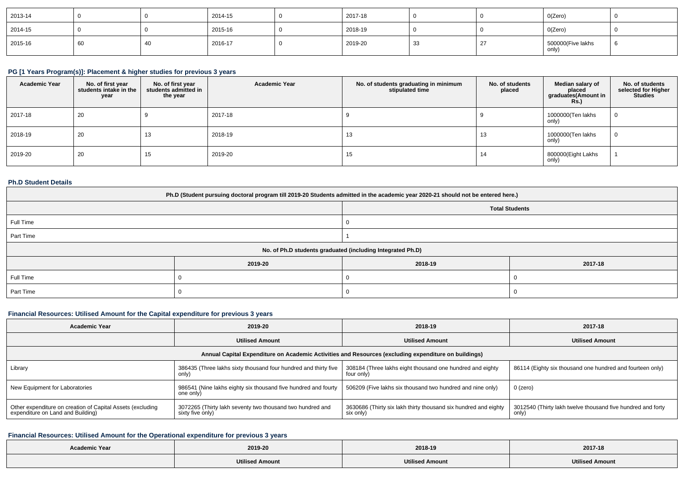| 2013-14 |    | 2014-15 | 2017-18 |     | O(Zero)                    |  |
|---------|----|---------|---------|-----|----------------------------|--|
| 2014-15 |    | 2015-16 | 2018-19 |     | O(Zero)                    |  |
| 2015-16 | 60 | 2016-17 | 2019-20 | -33 | 500000(Five lakhs<br>only) |  |

# **PG [1 Years Program(s)]: Placement & higher studies for previous 3 years**

| <b>Academic Year</b> | No. of first year<br>students intake in the<br>year | No. of first year<br>students admitted in<br>the year | <b>Academic Year</b> | No. of students graduating in minimum<br>stipulated time | No. of students<br>placed | Median salary of<br>placed<br>graduates(Amount in<br><b>Rs.</b> ) | No. of students<br>selected for Higher<br><b>Studies</b> |
|----------------------|-----------------------------------------------------|-------------------------------------------------------|----------------------|----------------------------------------------------------|---------------------------|-------------------------------------------------------------------|----------------------------------------------------------|
| 2017-18              | 20                                                  |                                                       | 2017-18              |                                                          |                           | 1000000(Ten lakhs<br>only)                                        |                                                          |
| 2018-19              | 20                                                  | 13                                                    | 2018-19              | 13                                                       | 13                        | 1000000(Ten lakhs<br>only)                                        |                                                          |
| 2019-20              | 20                                                  | 15                                                    | 2019-20              | 15                                                       | 14                        | 800000(Eight Lakhs<br>only)                                       |                                                          |

#### **Ph.D Student Details**

| Ph.D (Student pursuing doctoral program till 2019-20 Students admitted in the academic year 2020-21 should not be entered here.) |                                                            |                       |         |  |  |  |  |
|----------------------------------------------------------------------------------------------------------------------------------|------------------------------------------------------------|-----------------------|---------|--|--|--|--|
|                                                                                                                                  |                                                            | <b>Total Students</b> |         |  |  |  |  |
| Full Time                                                                                                                        |                                                            |                       |         |  |  |  |  |
| Part Time                                                                                                                        |                                                            |                       |         |  |  |  |  |
|                                                                                                                                  | No. of Ph.D students graduated (including Integrated Ph.D) |                       |         |  |  |  |  |
|                                                                                                                                  | 2019-20                                                    | 2018-19               | 2017-18 |  |  |  |  |
| Full Time                                                                                                                        |                                                            |                       |         |  |  |  |  |
| Part Time                                                                                                                        |                                                            |                       |         |  |  |  |  |

### **Financial Resources: Utilised Amount for the Capital expenditure for previous 3 years**

| <b>Academic Year</b>                                                                                 | 2019-20                                                                       | 2018-19                                                                      | 2017-18                                                              |  |  |  |  |  |
|------------------------------------------------------------------------------------------------------|-------------------------------------------------------------------------------|------------------------------------------------------------------------------|----------------------------------------------------------------------|--|--|--|--|--|
|                                                                                                      | <b>Utilised Amount</b>                                                        | <b>Utilised Amount</b>                                                       | <b>Utilised Amount</b>                                               |  |  |  |  |  |
| Annual Capital Expenditure on Academic Activities and Resources (excluding expenditure on buildings) |                                                                               |                                                                              |                                                                      |  |  |  |  |  |
| Library                                                                                              | 386435 (Three lakhs sixty thousand four hundred and thirty five<br>only)      | 308184 (Three lakhs eight thousand one hundred and eighty<br>four only)      | 86114 (Eighty six thousand one hundred and fourteen only)            |  |  |  |  |  |
| New Equipment for Laboratories                                                                       | 986541 (Nine lakhs eighty six thousand five hundred and fourty<br>one only)   | 506209 (Five lakhs six thousand two hundred and nine only)                   | 0 (zero)                                                             |  |  |  |  |  |
| Other expenditure on creation of Capital Assets (excluding<br>expenditure on Land and Building)      | 3072265 (Thirty lakh seventy two thousand two hundred and<br>sixty five only) | 3630686 (Thirty six lakh thirty thousand six hundred and eighty<br>six only) | 3012540 (Thirty lakh twelve thousand five hundred and forty<br>only) |  |  |  |  |  |

# **Financial Resources: Utilised Amount for the Operational expenditure for previous 3 years**

| <b>Academic Year</b> | 2019-20                | 2018-19                | 2017-18                |
|----------------------|------------------------|------------------------|------------------------|
|                      | <b>Utilised Amount</b> | <b>Utilised Amount</b> | <b>Utilised Amount</b> |
|                      |                        |                        |                        |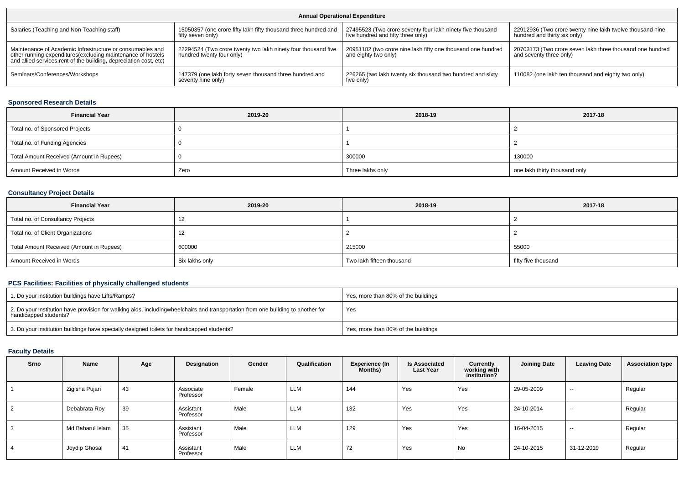| <b>Annual Operational Expenditure</b>                                                                                                                                                           |                                                                                            |                                                                                                  |                                                                                           |  |  |  |  |
|-------------------------------------------------------------------------------------------------------------------------------------------------------------------------------------------------|--------------------------------------------------------------------------------------------|--------------------------------------------------------------------------------------------------|-------------------------------------------------------------------------------------------|--|--|--|--|
| Salaries (Teaching and Non Teaching staff)                                                                                                                                                      | 15050357 (one crore fifty lakh fifty thousand three hundred and<br>fifty seven only)       | 27495523 (Two crore seventy four lakh ninety five thousand<br>five hundred and fifty three only) | 22912936 (Two crore twenty nine lakh twelve thousand nine<br>hundred and thirty six only) |  |  |  |  |
| Maintenance of Academic Infrastructure or consumables and<br>other running expenditures (excluding maintenance of hostels<br>and allied services, rent of the building, depreciation cost, etc) | 22294524 (Two crore twenty two lakh ninety four thousand five<br>hundred twenty four only) | 20951182 (two crore nine lakh fifty one thousand one hundred<br>and eighty two only)             | 20703173 (Two crore seven lakh three thousand one hundred<br>and seventy three only)      |  |  |  |  |
| Seminars/Conferences/Workshops                                                                                                                                                                  | 147379 (one lakh forty seven thousand three hundred and<br>seventy nine only)              | 226265 (two lakh twenty six thousand two hundred and sixty<br>five only                          | 110082 (one lakh ten thousand and eighty two only)                                        |  |  |  |  |

# **Sponsored Research Details**

| <b>Financial Year</b>                    | 2019-20 | 2018-19          | 2017-18                       |
|------------------------------------------|---------|------------------|-------------------------------|
| Total no. of Sponsored Projects          |         |                  |                               |
| Total no. of Funding Agencies            |         |                  |                               |
| Total Amount Received (Amount in Rupees) |         | 300000           | 130000                        |
| Amount Received in Words                 | Zero    | Three lakhs only | one lakh thirty thousand only |

# **Consultancy Project Details**

| <b>Financial Year</b>                    | 2019-20        | 2018-19                   | 2017-18             |
|------------------------------------------|----------------|---------------------------|---------------------|
| Total no. of Consultancy Projects        | 12             |                           |                     |
| Total no. of Client Organizations        | 12             |                           |                     |
| Total Amount Received (Amount in Rupees) | 600000         | 215000                    | 55000               |
| Amount Received in Words                 | Six lakhs only | Two lakh fifteen thousand | fifty five thousand |

### **PCS Facilities: Facilities of physically challenged students**

| 1. Do your institution buildings have Lifts/Ramps?                                                                                                        | Yes, more than 80% of the buildings |
|-----------------------------------------------------------------------------------------------------------------------------------------------------------|-------------------------------------|
| 2. Do your institution have provision for walking aids, includingwheelchairs and transportation from one building to another for<br>handicapped students? | Yes                                 |
| 3. Do your institution buildings have specially designed toilets for handicapped students?                                                                | Yes, more than 80% of the buildings |

#### **Faculty Details**

| Srno           | Name             | Age | Designation            | Gender | Qualification | <b>Experience (In</b><br><b>Months)</b> | <b>Is Associated</b><br><b>Last Year</b> | Currently<br>working with<br>institution? | <b>Joining Date</b> | <b>Leaving Date</b> | <b>Association type</b> |
|----------------|------------------|-----|------------------------|--------|---------------|-----------------------------------------|------------------------------------------|-------------------------------------------|---------------------|---------------------|-------------------------|
|                | Zigisha Pujari   | 43  | Associate<br>Professor | Female | LLM           | 144                                     | Yes                                      | Yes                                       | 29-05-2009          | $\sim$              | Regular                 |
| $\overline{2}$ | Debabrata Roy    | 39  | Assistant<br>Professor | Male   | LLM           | 132                                     | Yes                                      | Yes                                       | 24-10-2014          | $\sim$              | Regular                 |
| 3              | Md Baharul Islam | 35  | Assistant<br>Professor | Male   | LLM           | 129                                     | Yes                                      | Yes                                       | 16-04-2015          | $\sim$              | Regular                 |
| 4              | Joydip Ghosal    | 41  | Assistant<br>Professor | Male   | LLM           | 72                                      | Yes                                      | No                                        | 24-10-2015          | 31-12-2019          | Regular                 |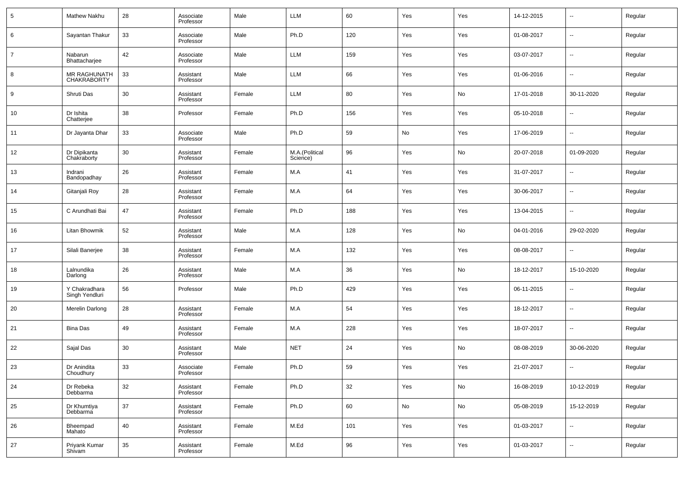| 5              | Mathew Nakhu                       | 28 | Associate<br>Professor | Male   | <b>LLM</b>                 | 60     | Yes        | Yes | 14-12-2015 | $\overline{\phantom{a}}$ | Regular |
|----------------|------------------------------------|----|------------------------|--------|----------------------------|--------|------------|-----|------------|--------------------------|---------|
| 6              | Sayantan Thakur                    | 33 | Associate<br>Professor | Male   | Ph.D                       | 120    | Yes        | Yes | 01-08-2017 | $\overline{\phantom{a}}$ | Regular |
| $\overline{7}$ | Nabarun<br>Bhattacharjee           | 42 | Associate<br>Professor | Male   | LLM                        | 159    | Yes        | Yes | 03-07-2017 | $\overline{\phantom{a}}$ | Regular |
| 8              | MR RAGHUNATH<br><b>CHAKRABORTY</b> | 33 | Assistant<br>Professor | Male   | LLM                        | 66     | Yes        | Yes | 01-06-2016 | $\overline{\phantom{a}}$ | Regular |
| 9              | Shruti Das                         | 30 | Assistant<br>Professor | Female | LLM                        | 80     | Yes        | No  | 17-01-2018 | 30-11-2020               | Regular |
| 10             | Dr Ishita<br>Chatterjee            | 38 | Professor              | Female | Ph.D                       | 156    | Yes        | Yes | 05-10-2018 | $\overline{\phantom{a}}$ | Regular |
| 11             | Dr Jayanta Dhar                    | 33 | Associate<br>Professor | Male   | Ph.D                       | 59     | No         | Yes | 17-06-2019 | $\overline{\phantom{a}}$ | Regular |
| 12             | Dr Dipikanta<br>Chakraborty        | 30 | Assistant<br>Professor | Female | M.A.(Political<br>Science) | 96     | Yes        | No  | 20-07-2018 | 01-09-2020               | Regular |
| 13             | Indrani<br>Bandopadhay             | 26 | Assistant<br>Professor | Female | M.A                        | 41     | Yes        | Yes | 31-07-2017 | $\overline{\phantom{a}}$ | Regular |
| 14             | Gitanjali Roy                      | 28 | Assistant<br>Professor | Female | M.A                        | 64     | Yes        | Yes | 30-06-2017 | $\overline{\phantom{a}}$ | Regular |
| 15             | C Arundhati Bai                    | 47 | Assistant<br>Professor | Female | Ph.D                       | 188    | Yes        | Yes | 13-04-2015 | $\overline{\phantom{a}}$ | Regular |
| 16             | Litan Bhowmik                      | 52 | Assistant<br>Professor | Male   | M.A                        | 128    | Yes        | No  | 04-01-2016 | 29-02-2020               | Regular |
| 17             | Silali Banerjee                    | 38 | Assistant<br>Professor | Female | M.A                        | 132    | Yes        | Yes | 08-08-2017 | $\overline{\phantom{a}}$ | Regular |
| 18             | Lalnundika<br>Darlong              | 26 | Assistant<br>Professor | Male   | M.A                        | 36     | Yes        | No  | 18-12-2017 | 15-10-2020               | Regular |
| 19             | Y Chakradhara<br>Singh Yendluri    | 56 | Professor              | Male   | Ph.D                       | 429    | Yes        | Yes | 06-11-2015 | $\overline{\phantom{a}}$ | Regular |
| 20             | Merelin Darlong                    | 28 | Assistant<br>Professor | Female | M.A                        | 54     | Yes        | Yes | 18-12-2017 | $\overline{\phantom{a}}$ | Regular |
| 21             | <b>Bina Das</b>                    | 49 | Assistant<br>Professor | Female | M.A                        | 228    | Yes        | Yes | 18-07-2017 | $\overline{\phantom{a}}$ | Regular |
| 22             | Sajal Das                          | 30 | Assistant<br>Professor | Male   | <b>NET</b>                 | 24     | Yes        | No  | 08-08-2019 | 30-06-2020               | Regular |
| 23             | Dr Anindita<br>Choudhury           | 33 | Associate<br>Professor | Female | Ph.D                       | 59     | Yes        | Yes | 21-07-2017 | --                       | Regular |
| 24             | Dr Rebeka<br>Debbarma              | 32 | Assistant<br>Professor | Female | Ph.D                       | 32     | Yes        | No  | 16-08-2019 | 10-12-2019               | Regular |
| 25             | Dr Khumtiya<br>Debbarma            | 37 | Assistant<br>Professor | Female | Ph.D                       | 60     | ${\sf No}$ | No  | 05-08-2019 | 15-12-2019               | Regular |
| 26             | Bheempad<br>Mahato                 | 40 | Assistant<br>Professor | Female | M.Ed                       | 101    | Yes        | Yes | 01-03-2017 | $\overline{\phantom{a}}$ | Regular |
| 27             | Priyank Kumar<br>Shivam            | 35 | Assistant<br>Professor | Female | M.Ed                       | $96\,$ | Yes        | Yes | 01-03-2017 | $\overline{\phantom{a}}$ | Regular |